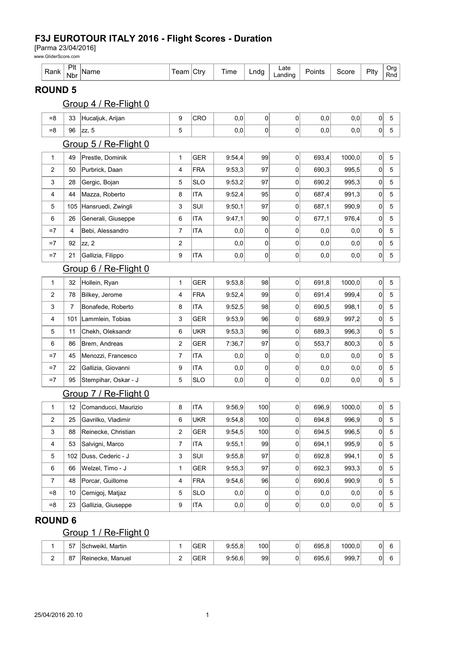### F3J EUROTOUR ITALY 2016 - Flight Scores - Duration

[Parma 23/04/2016]

www.GliderScore.com

|  | D-1-<br><b>Talin</b> | PIt<br>. .<br>Nbr |  | $\sim$ fry | $\overline{\phantom{a}}$<br>ıme | ndu. | Late<br>∟andino | oints | score | Pltv | Ora<br>Dn<br>Rnd |
|--|----------------------|-------------------|--|------------|---------------------------------|------|-----------------|-------|-------|------|------------------|
|--|----------------------|-------------------|--|------------|---------------------------------|------|-----------------|-------|-------|------|------------------|

#### ROUND 5

## Group 4 / Re-Flight 0

| $= 8$          | 33             | Hucaljuk, Arijan      | 9                       | CRO        | 0,0    | $\mathsf 0$    | 0              | 0,0   | 0,0    | 0              | $\mathbf 5$ |
|----------------|----------------|-----------------------|-------------------------|------------|--------|----------------|----------------|-------|--------|----------------|-------------|
| $= 8$          | 96             | zz, 5                 | 5                       |            | 0,0    | $\overline{0}$ | 0              | 0,0   | 0,0    | 0              | 5           |
|                |                | Group 5 / Re-Flight 0 |                         |            |        |                |                |       |        |                |             |
| $\mathbf{1}$   | 49             | Prestle, Dominik      | 1                       | <b>GER</b> | 9:54,4 | 99             | $\overline{0}$ | 693,4 | 1000.0 | 0              | 5           |
| 2              | 50             | Purbrick, Daan        | $\overline{4}$          | <b>FRA</b> | 9:53.3 | 97             | 0              | 690,3 | 995,5  | 0              | 5           |
| 3              | 28             | Gergic, Bojan         | 5                       | <b>SLO</b> | 9:53,2 | 97             | 0              | 690,2 | 995,3  | 0              | 5           |
| 4              | 44             | Mazza, Roberto        | 8                       | <b>ITA</b> | 9:52,4 | 95             | 0              | 687,4 | 991,3  | 0              | 5           |
| 5              | 105            | Hansruedi, Zwingli    | 3                       | SUI        | 9:50,1 | 97             | 0              | 687,1 | 990,9  | 0              | 5           |
| 6              | 26             | Generali, Giuseppe    | 6                       | <b>ITA</b> | 9:47,1 | 90             | 0              | 677,1 | 976,4  | 0              | 5           |
| $=7$           | $\overline{4}$ | Bebi, Alessandro      | $\overline{7}$          | <b>ITA</b> | 0,0    | 0              | 0              | 0,0   | 0,0    | 0              | 5           |
| $=7$           | 92             | zz, 2                 | $\overline{c}$          |            | 0,0    | $\overline{0}$ | 0              | 0,0   | 0,0    | 0              | 5           |
| $=7$           | 21             | Gallizia, Filippo     | 9                       | <b>ITA</b> | 0,0    | $\overline{0}$ | 0              | 0,0   | 0,0    | 0              | 5           |
|                |                | Group 6 / Re-Flight 0 |                         |            |        |                |                |       |        |                |             |
| 1              | 32             | Hollein, Ryan         | 1                       | GER        | 9:53,8 | 98             | $\overline{0}$ | 691,8 | 1000,0 | 0              | 5           |
| 2              | 78             | Bilkey, Jerome        | 4                       | <b>FRA</b> | 9:52.4 | 99             | 0              | 691,4 | 999,4  | 0              | 5           |
| 3              | $\overline{7}$ | Bonafede, Roberto     | 8                       | ITA        | 9:52,5 | 98             | 0              | 690,5 | 998,1  | 0              | 5           |
| 4              | 101            | Lammlein, Tobias      | 3                       | <b>GER</b> | 9:53,9 | 96             | 0              | 689,9 | 997,2  | 0              | 5           |
| 5              | 11             | Chekh, Oleksandr      | 6                       | <b>UKR</b> | 9:53,3 | 96             | 0              | 689,3 | 996,3  | 0              | 5           |
| 6              | 86             | Brem, Andreas         | $\overline{\mathbf{c}}$ | <b>GER</b> | 7:36,7 | 97             | 0              | 553,7 | 800,3  | 0              | 5           |
| $=7$           | 45             | Menozzi, Francesco    | $\overline{7}$          | <b>ITA</b> | 0,0    | 0              | 0              | 0,0   | 0,0    | 0              | 5           |
| $=7$           | 22             | Gallizia, Giovanni    | 9                       | <b>ITA</b> | 0,0    | $\mathsf 0$    | $\mathsf 0$    | 0,0   | 0,0    | 0              | 5           |
| $=7$           | 95             | Stempihar, Oskar - J  | 5                       | <b>SLO</b> | 0,0    | $\overline{0}$ | 0              | 0,0   | 0,0    | 0              | 5           |
|                |                | Group 7 / Re-Flight 0 |                         |            |        |                |                |       |        |                |             |
| $\mathbf{1}$   | 12             | Comanducci, Maurizio  | 8                       | <b>ITA</b> | 9:56,9 | 100            | 0              | 696,9 | 1000,0 | 0              | 5           |
| $\overline{c}$ | 25             | Gavrilko, Vladimir    | 6                       | <b>UKR</b> | 9:54,8 | 100            | 0              | 694,8 | 996,9  | $\overline{0}$ | 5           |
| 3              | 88             | Reinecke, Christian   | 2                       | GER        | 9:54,5 | 100            | 0              | 694,5 | 996,5  | 0              | 5           |
| 4              | 53             | Salvigni, Marco       | $\overline{7}$          | <b>ITA</b> | 9:55,1 | 99             | 0              | 694,1 | 995,9  | 0              | 5           |
| 5              | 102            | Duss, Cederic - J     | 3                       | <b>SUI</b> | 9:55,8 | 97             | 0              | 692,8 | 994,1  | 0              | 5           |
| 6              | 66             | Welzel, Timo - J      | $\mathbf{1}$            | GER        | 9:55,3 | 97             | 0              | 692,3 | 993,3  | 0              | 5           |
| 7              | 48             | Porcar, Guillome      | 4                       | <b>FRA</b> | 9:54,6 | 96             | 0              | 690,6 | 990,9  | 0              | 5           |
| $= 8$          | 10             | Cernigoj, Matjaz      | 5                       | <b>SLO</b> | 0,0    | 0              | 0              | 0,0   | 0,0    | 0              | 5           |
| $= 8$          | 23             | Gallizia, Giuseppe    | 9                       | <b>ITA</b> | 0,0    | $\overline{0}$ | 0              | 0,0   | 0,0    | 0              | 5           |

## ROUND 6

# Group 1 / Re-Flight 0

| 57 | <b>Schweikl. Martin</b> |   | $\sim$ $\sim$ $\sim$<br>ப⊏ | 9:55.8 | 100 <sub>1</sub> | 0 | 695.8 | 1000,0                           | 01 |  |
|----|-------------------------|---|----------------------------|--------|------------------|---|-------|----------------------------------|----|--|
| 87 | Manuel<br>'Reinecke.    | - | $\sim$ $\sim$ $\sim$<br>ᅝ  | 9:56.6 | 99               | 0 | 695.6 | 999.<br>$\overline{\phantom{a}}$ | 01 |  |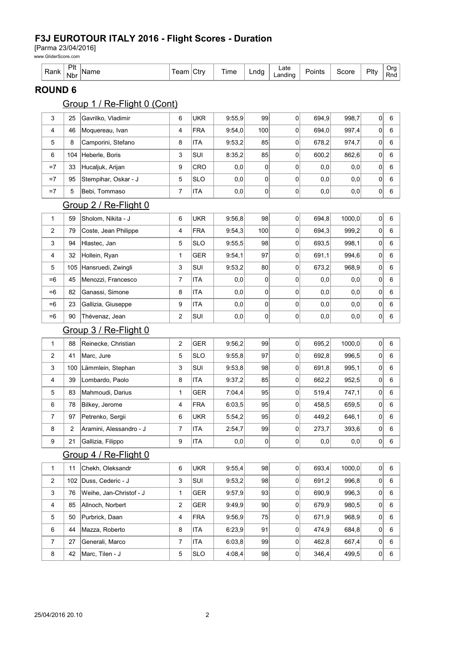### F3J EUROTOUR ITALY 2016 - Flight Scores - Duration

[Parma 23/04/2016]

www.GliderScore.com

| -<br>しへいし<br>⊷<br>nalin | D <sub>It</sub><br>ne<br>Nbr<br>____ | --<br>___ | $\overline{\phantom{a}}$<br>`trv<br>U | lme | .ndc | ∟ate<br>$\cdots$<br>andino<br>. . | oints | `core | Plty<br>and the contract of the contract of | Jr<br>–<br>KNO |
|-------------------------|--------------------------------------|-----------|---------------------------------------|-----|------|-----------------------------------|-------|-------|---------------------------------------------|----------------|
|-------------------------|--------------------------------------|-----------|---------------------------------------|-----|------|-----------------------------------|-------|-------|---------------------------------------------|----------------|

### ROUND 6

## Group 1 / Re-Flight 0 (Cont)

| 3              | 25  | Gavrilko, Vladimir      | 6              | <b>UKR</b> | 9:55,9 | 99             | 0 | 694,9 | 998,7  | 0              | 6       |
|----------------|-----|-------------------------|----------------|------------|--------|----------------|---|-------|--------|----------------|---------|
| 4              | 46  | Moquereau, Ivan         | 4              | <b>FRA</b> | 9:54,0 | 100            | 0 | 694,0 | 997,4  | 0              | 6       |
| 5              | 8   | Camporini, Stefano      | 8              | <b>ITA</b> | 9:53,2 | 85             | 0 | 678,2 | 974,7  | 0              | 6       |
| 6              | 104 | Heberle, Boris          | 3              | SUI        | 8:35,2 | 85             | 0 | 600,2 | 862,6  | 0              | $\,6\,$ |
| $=7$           | 33  | Hucaljuk, Arijan        | 9              | CRO        | 0,0    | $\overline{0}$ | 0 | 0,0   | 0,0    | 0              | 6       |
| $=7$           | 95  | Stempihar, Oskar - J    | 5              | <b>SLO</b> | 0,0    | $\overline{0}$ | 0 | 0,0   | 0,0    | 0              | 6       |
| $=7$           | 5   | Bebi, Tommaso           | 7              | <b>ITA</b> | 0,0    | $\overline{0}$ | 0 | 0,0   | 0,0    | 0              | $\,6\,$ |
|                |     | Group 2 / Re-Flight 0   |                |            |        |                |   |       |        |                |         |
| 1              | 59  | Sholom, Nikita - J      | 6              | <b>UKR</b> | 9:56,8 | 98             | 0 | 694,8 | 1000,0 | $\overline{0}$ | 6       |
| $\overline{2}$ | 79  | Coste, Jean Philippe    | 4              | <b>FRA</b> | 9:54,3 | 100            | 0 | 694,3 | 999,2  | 0              | 6       |
| 3              | 94  | Hlastec, Jan            | 5              | <b>SLO</b> | 9:55,5 | 98             | 0 | 693,5 | 998,1  | $\overline{0}$ | 6       |
| 4              | 32  | Hollein, Ryan           | 1              | <b>GER</b> | 9:54,1 | 97             | 0 | 691,1 | 994,6  | 0              | 6       |
| 5              | 105 | Hansruedi, Zwingli      | 3              | SUI        | 9:53,2 | 80             | 0 | 673,2 | 968,9  | 0              | 6       |
| $=6$           | 45  | Menozzi, Francesco      | $\overline{7}$ | <b>ITA</b> | 0,0    | $\overline{0}$ | 0 | 0,0   | 0,0    | 0              | $\,6\,$ |
| $=6$           | 82  | Ganassi, Simone         | 8              | <b>ITA</b> | 0,0    | 0              | 0 | 0,0   | 0,0    | 0              | 6       |
| $=6$           | 23  | Gallizia, Giuseppe      | 9              | ITA        | 0,0    | $\overline{0}$ | 0 | 0,0   | 0,0    | 0              | 6       |
| =6             | 90  | Thévenaz, Jean          | 2              | SUI        | 0,0    | $\overline{0}$ | 0 | 0,0   | 0,0    | 0              | $\,6\,$ |
|                |     | Group 3 / Re-Flight 0   |                |            |        |                |   |       |        |                |         |
| 1              | 88  | Reinecke, Christian     | 2              | <b>GER</b> | 9:56,2 | 99             | 0 | 695,2 | 1000,0 | $\overline{0}$ | 6       |
| $\overline{2}$ | 41  | Marc, Jure              | 5              | <b>SLO</b> | 9:55,8 | 97             | 0 | 692,8 | 996,5  | 0              | 6       |
| 3              | 100 | Lämmlein, Stephan       | 3              | SUI        | 9:53,8 | 98             | 0 | 691,8 | 995,1  | $\overline{0}$ | 6       |
| 4              | 39  | Lombardo, Paolo         | 8              | <b>ITA</b> | 9:37,2 | 85             | 0 | 662,2 | 952,5  | 0              | 6       |
| 5              | 83  | Mahmoudi, Darius        | 1              | <b>GER</b> | 7:04,4 | 95             | 0 | 519,4 | 747,1  | 0              | 6       |
| 6              | 78  | Bilkey, Jerome          | 4              | <b>FRA</b> | 6:03,5 | 95             | 0 | 458,5 | 659,5  | 0              | $\,6\,$ |
| $\overline{7}$ | 97  | Petrenko, Sergii        | 6              | <b>UKR</b> | 5:54,2 | 95             | 0 | 449,2 | 646,1  | 0              | 6       |
| 8              | 2   | Aramini, Alessandro - J | 7              | <b>ITA</b> | 2:54,7 | 99             | 0 | 273,7 | 393,6  | 0              | 6       |
| 9              | 21  | Gallizia, Filippo       | 9              | <b>ITA</b> | 0,0    | $\overline{0}$ | 0 | 0,0   | 0,0    | 0              | $\,6\,$ |
|                |     | Group 4 / Re-Flight 0   |                |            |        |                |   |       |        |                |         |
| 1              | 11  | Chekh, Oleksandr        | 6              | <b>UKR</b> | 9:55,4 | 98             | 0 | 693,4 | 1000,0 | 0              | 6       |
| $\overline{2}$ | 102 | Duss. Cederic - J       | 3              | SUI        | 9:53,2 | 98             | 0 | 691,2 | 996,8  | 0              | 6       |
| 3              | 76  | Weihe, Jan-Christof - J | 1              | <b>GER</b> | 9:57,9 | 93             | 0 | 690,9 | 996,3  | 0              | 6       |
| 4              | 85  | Allnoch, Norbert        | 2              | <b>GER</b> | 9:49,9 | 90             | 0 | 679,9 | 980,5  | $\overline{0}$ | 6       |
| 5              | 50  | Purbrick, Daan          | 4              | <b>FRA</b> | 9:56.9 | 75             | 0 | 671,9 | 968,9  | $\overline{0}$ | 6       |
| 6              | 44  | Mazza, Roberto          | 8              | ITA        | 6:23.9 | 91             | 0 | 474,9 | 684,8  | $\overline{0}$ | 6       |
| $\overline{7}$ | 27  | Generali, Marco         | $\overline{7}$ | <b>ITA</b> | 6:03,8 | 99             | 0 | 462,8 | 667,4  | $\overline{0}$ | 6       |
| 8              | 42  | Marc, Tilen - J         | 5              | <b>SLO</b> | 4:08,4 | 98             | 0 | 346,4 | 499,5  | 0              | 6       |